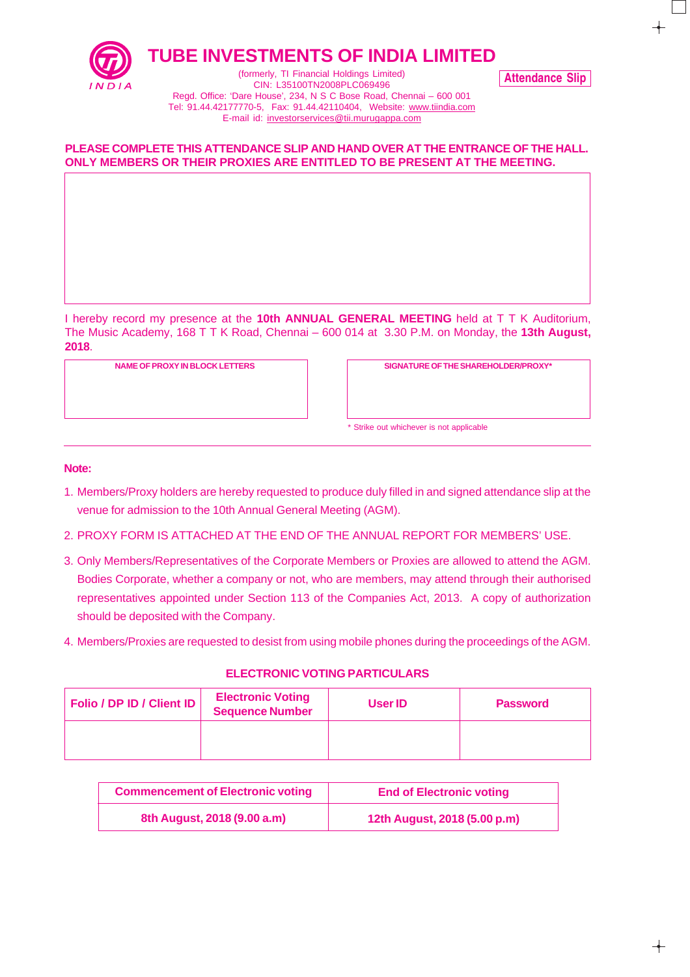

**TUBE INVESTMENTS OF INDIA LIMITED**

Attendance Slip

(formerly, TI Financial Holdings Limited) CIN: L35100TN2008PLC069496 Regd. Office: 'Dare House', 234, N S C Bose Road, Chennai – 600 001 Tel: 91.44.42177770-5, Fax: 91.44.42110404, Website: www.tiindia.com E-mail id: investorservices@tii.murugappa.com

## **PLEASE COMPLETE THIS ATTENDANCE SLIP AND HAND OVER AT THE ENTRANCE OF THE HALL. ONLY MEMBERS OR THEIR PROXIES ARE ENTITLED TO BE PRESENT AT THE MEETING.**

I hereby record my presence at the **10th ANNUAL GENERAL MEETING** held at T T K Auditorium, The Music Academy, 168 T T K Road, Chennai – 600 014 at 3.30 P.M. on Monday, the **13th August, 2018**.

**NAME OF PROXY IN BLOCK LETTERS SIGNATURE OF THE SHAREHOLDER/PROXY\***

\* Strike out whichever is not applicable

#### **Note:**

- 1. Members/Proxy holders are hereby requested to produce duly filled in and signed attendance slip at the venue for admission to the 10th Annual General Meeting (AGM).
- 2. PROXY FORM IS ATTACHED AT THE END OF THE ANNUAL REPORT FOR MEMBERS' USE.
- 3. Only Members/Representatives of the Corporate Members or Proxies are allowed to attend the AGM. Bodies Corporate, whether a company or not, who are members, may attend through their authorised representatives appointed under Section 113 of the Companies Act, 2013. A copy of authorization should be deposited with the Company.
- 4. Members/Proxies are requested to desist from using mobile phones during the proceedings of the AGM.

### **ELECTRONIC VOTING PARTICULARS**

| Folio / DP ID / Client ID | <b>Electronic Voting</b><br><b>Sequence Number</b> | User ID | <b>Password</b> |
|---------------------------|----------------------------------------------------|---------|-----------------|
|                           |                                                    |         |                 |

| <b>Commencement of Electronic voting</b> | <b>End of Electronic voting</b> |
|------------------------------------------|---------------------------------|
| 8th August, 2018 (9.00 a.m)              | 12th August, 2018 (5.00 p.m)    |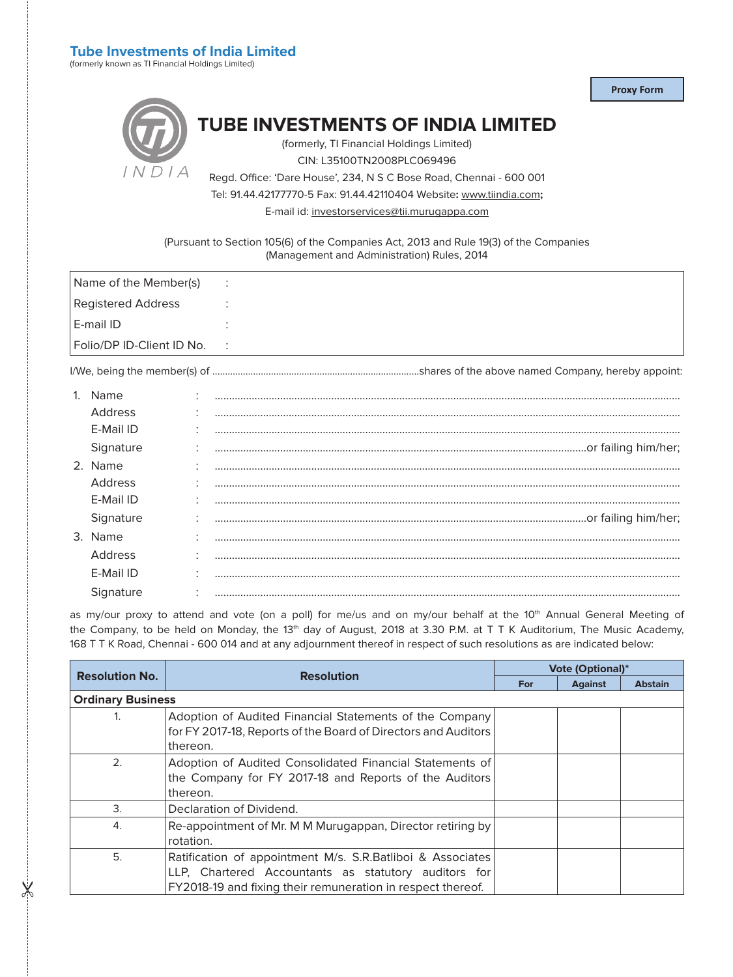# **Tube Investments of India Limited**

(formerly known as TI Financial Holdings Limited)

**Proxy Form**

|         | <b>TUBE INVESTMENTS OF INDIA LIMITED</b><br>(formerly, TI Financial Holdings Limited) |
|---------|---------------------------------------------------------------------------------------|
|         |                                                                                       |
|         | CIN: L35100TN2008PLC069496                                                            |
| 1 N11 A | Regd. Office: 'Dare House', 234, N S C Bose Road, Chennai - 600 001                   |

Tel: 91.44.42177770-5 Fax: 91.44.42110404 Website**:** www.tiindia.com**;**

E-mail id: investorservices@tii.murugappa.com

(Pursuant to Section 105(6) of the Companies Act, 2013 and Rule 19(3) of the Companies (Management and Administration) Rules, 2014

| Name of the Member(s)     | $\bullet$<br>$\cdot$ |
|---------------------------|----------------------|
| Registered Address        |                      |
| E-mail ID                 |                      |
| Folio/DP ID-Client ID No. | $\cdot$ :            |
|                           |                      |

I/We, being the member(s) of ………………………………………………………..................shares of the above named Company, hereby appoint:

 $\frac{1}{2}$ 

| Name      |  |
|-----------|--|
| Address   |  |
| E-Mail ID |  |
| Signature |  |
| 2. Name   |  |
| Address   |  |
| E-Mail ID |  |
| Signature |  |
| 3. Name   |  |
| Address   |  |
| E-Mail ID |  |
| Signature |  |

as my/our proxy to attend and vote (on a poll) for me/us and on my/our behalf at the 10<sup>th</sup> Annual General Meeting of the Company, to be held on Monday, the 13<sup>th</sup> day of August, 2018 at 3.30 P.M. at T T K Auditorium, The Music Academy, 168 T T K Road, Chennai - 600 014 and at any adjournment thereof in respect of such resolutions as are indicated below:

|                          | <b>Resolution</b>                                                                                                                                                                 | <b>Vote (Optional)*</b> |                |                |
|--------------------------|-----------------------------------------------------------------------------------------------------------------------------------------------------------------------------------|-------------------------|----------------|----------------|
| <b>Resolution No.</b>    |                                                                                                                                                                                   | <b>For</b>              | <b>Against</b> | <b>Abstain</b> |
| <b>Ordinary Business</b> |                                                                                                                                                                                   |                         |                |                |
|                          | Adoption of Audited Financial Statements of the Company<br>for FY 2017-18, Reports of the Board of Directors and Auditors<br>thereon.                                             |                         |                |                |
| 2.                       | Adoption of Audited Consolidated Financial Statements of<br>the Company for FY 2017-18 and Reports of the Auditors<br>thereon.                                                    |                         |                |                |
| 3.                       | Declaration of Dividend.                                                                                                                                                          |                         |                |                |
| 4.                       | Re-appointment of Mr. M M Murugappan, Director retiring by<br>rotation.                                                                                                           |                         |                |                |
| 5.                       | Ratification of appointment M/s. S.R.Batliboi & Associates<br>LLP, Chartered Accountants as statutory auditors for<br>FY2018-19 and fixing their remuneration in respect thereof. |                         |                |                |